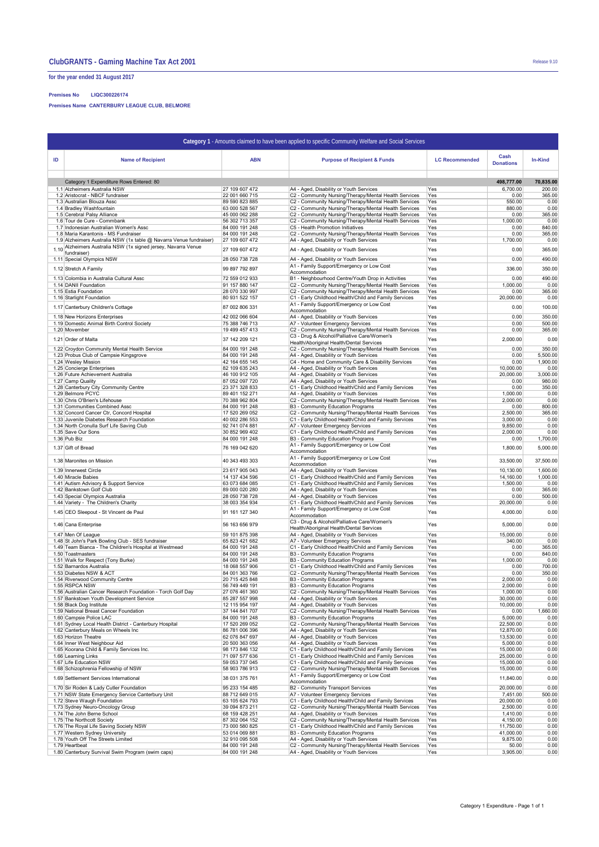**for the year ended 31 August 2017**

## **Premises No LIQC300226174**

**Premises Name CANTERBURY LEAGUE CLUB, BELMORE**

| Category 1 - Amounts claimed to have been applied to specific Community Welfare and Social Services |                                                                                                                                      |                                  |                                                                                                                |                       |                          |                    |  |  |  |  |  |  |
|-----------------------------------------------------------------------------------------------------|--------------------------------------------------------------------------------------------------------------------------------------|----------------------------------|----------------------------------------------------------------------------------------------------------------|-----------------------|--------------------------|--------------------|--|--|--|--|--|--|
| ID                                                                                                  | <b>Name of Recipient</b>                                                                                                             | <b>ABN</b>                       | <b>Purpose of Recipient &amp; Funds</b>                                                                        | <b>LC Recommended</b> | Cash<br><b>Donations</b> | In-Kind            |  |  |  |  |  |  |
|                                                                                                     | Category 1 Expenditure Rows Entered: 80                                                                                              |                                  |                                                                                                                |                       | 498,777.00               | 70,835.00          |  |  |  |  |  |  |
|                                                                                                     | 1.1 Alzheimers Australia NSW                                                                                                         | 27 109 607 472                   | A4 - Aged, Disability or Youth Services                                                                        | Yes                   | 6,700.00                 | 200.00             |  |  |  |  |  |  |
|                                                                                                     | 1.2 Aristocrat - NBCF fundraiser                                                                                                     | 22 001 660 715                   | C2 - Community Nursing/Therapy/Mental Health Services                                                          | Yes                   | 0.00                     | 365.00             |  |  |  |  |  |  |
|                                                                                                     | 1.3 Australian Blouza Assc                                                                                                           | 89 590 823 885                   | C2 - Community Nursing/Therapy/Mental Health Services                                                          | Yes                   | 550.00                   | 0.00<br>0.00       |  |  |  |  |  |  |
|                                                                                                     | 1.4 Bradley Washfountain<br>1.5 Cerebral Palsy Alliance                                                                              | 63 000 528 567<br>45 000 062 288 | C2 - Community Nursing/Therapy/Mental Health Services<br>C2 - Community Nursing/Therapy/Mental Health Services | Yes<br>Yes            | 880.00<br>0.00           | 365.00             |  |  |  |  |  |  |
|                                                                                                     | 1.6 Tour de Cure - Commbank                                                                                                          | 56 302 713 357                   | C2 - Community Nursing/Therapy/Mental Health Services                                                          | Yes                   | 1,000.00                 | 0.00               |  |  |  |  |  |  |
|                                                                                                     | 1.7 Indonesian Australian Women's Assc                                                                                               | 84 000 191 248                   | C5 - Health Promotion Initiatives                                                                              | Yes                   | 0.00                     | 840.00             |  |  |  |  |  |  |
|                                                                                                     | 1.8 Maria Karantonis - MS Fundraiser                                                                                                 | 84 000 191 248                   | C2 - Community Nursing/Therapy/Mental Health Services                                                          | Yes                   | 0.00                     | 365.00             |  |  |  |  |  |  |
|                                                                                                     | 1.9 Alzheimers Australia NSW (1x table @ Navarra Venue fundraiser)<br>1.10 Alzheimers Australia NSW (1x signed jersey, Navarra Venue | 27 109 607 472                   | A4 - Aged, Disability or Youth Services                                                                        | Yes                   | 1,700.00                 | 0.00               |  |  |  |  |  |  |
|                                                                                                     | fundraiser)                                                                                                                          | 27 109 607 472                   | A4 - Aged, Disability or Youth Services                                                                        | Yes                   | 0.00                     | 365.00             |  |  |  |  |  |  |
|                                                                                                     | 1.11 Special Olympics NSW                                                                                                            | 28 050 738 728                   | A4 - Aged, Disability or Youth Services                                                                        | Yes                   | 0.00                     | 490.00             |  |  |  |  |  |  |
|                                                                                                     | 1.12 Stretch A Family                                                                                                                | 99 897 792 897                   | A1 - Family Support/Emergency or Low Cost<br>Accommodation                                                     | Yes                   | 336.00                   | 350.00             |  |  |  |  |  |  |
|                                                                                                     | 1.13 Colombia in Australia Cultural Assc                                                                                             | 72 559 012 933                   | B1 - Neighbourhood Centre/Youth Drop in Activities                                                             | Yes                   | 0.00                     | 490.00             |  |  |  |  |  |  |
|                                                                                                     | 1.14 DANII Foundation                                                                                                                | 91 157 880 147                   | C2 - Community Nursing/Therapy/Mental Health Services                                                          | Yes                   | 1,000.00                 | 0.00               |  |  |  |  |  |  |
|                                                                                                     | 1.15 Estia Foundation                                                                                                                | 28 070 330 997                   | C2 - Community Nursing/Therapy/Mental Health Services                                                          | Yes                   | 0.00                     | 365.00             |  |  |  |  |  |  |
|                                                                                                     | 1.16 Starlight Foundation                                                                                                            | 80 931 522 157                   | C1 - Early Childhood Health/Child and Family Services                                                          | Yes                   | 20,000.00                | 0.00               |  |  |  |  |  |  |
|                                                                                                     | 1.17 Canterbury Children's Cottage                                                                                                   | 87 002 806 331                   | A1 - Family Support/Emergency or Low Cost<br>Accommodation                                                     | Yes                   | 0.00                     | 100.00             |  |  |  |  |  |  |
|                                                                                                     | 1.18 New Horizons Enterprises                                                                                                        | 42 002 066 604                   | A4 - Aged, Disability or Youth Services                                                                        | Yes                   | 0.00                     | 350.00             |  |  |  |  |  |  |
|                                                                                                     | 1.19 Domestic Animal Birth Control Society                                                                                           | 75 388 746 713                   | A7 - Volunteer Emergency Services                                                                              | Yes                   | 0.00                     | 500.00             |  |  |  |  |  |  |
|                                                                                                     | 1.20 Movember                                                                                                                        | 19 499 457 413                   | C2 - Community Nursing/Therapy/Mental Health Services                                                          | Yes                   | 0.00                     | 365.00             |  |  |  |  |  |  |
|                                                                                                     | 1.21 Order of Malta                                                                                                                  | 37 142 209 121                   | C3 - Drug & Alcohol/Palliative Care/Women's<br>Health/Aboriginal Health/Dental Services                        | Yes                   | 2,000.00                 | 0.00               |  |  |  |  |  |  |
|                                                                                                     | 1.22 Croydon Community Mental Health Service                                                                                         | 84 000 191 248                   | C2 - Community Nursing/Therapy/Mental Health Services                                                          | Yes                   | 0.00                     | 350.00             |  |  |  |  |  |  |
|                                                                                                     | 1.23 Probus Club of Campsie Kingsgrove                                                                                               | 84 000 191 248                   | A4 - Aged, Disability or Youth Services                                                                        | Yes                   | 0.00                     | 5,500.00           |  |  |  |  |  |  |
|                                                                                                     | 1.24 Wesley Mission                                                                                                                  | 42 164 655 145                   | C4 - Home and Community Care & Disability Services                                                             | Yes                   | 0.00                     | 1,900.00           |  |  |  |  |  |  |
|                                                                                                     | 1.25 Concierge Enterprises                                                                                                           | 82 109 635 243                   | A4 - Aged, Disability or Youth Services                                                                        | Yes                   | 10,000.00                | 0.00               |  |  |  |  |  |  |
|                                                                                                     | 1.26 Future Achievement Australia<br>1.27 Camp Quality                                                                               | 46 100 912 105<br>87 052 097 720 | A4 - Aged, Disability or Youth Services<br>A4 - Aged, Disability or Youth Services                             | Yes<br>Yes            | 20,000.00<br>0.00        | 3,000.00<br>980.00 |  |  |  |  |  |  |
|                                                                                                     | 1.28 Canterbury City Community Centre                                                                                                | 23 371 328 833                   | C1 - Early Childhood Health/Child and Family Services                                                          | Yes                   | 0.00                     | 350.00             |  |  |  |  |  |  |
|                                                                                                     | 1.29 Belmore PCYC                                                                                                                    | 89 401 152 271                   | A4 - Aged, Disability or Youth Services                                                                        | Yes                   | 1,000.00                 | 0.00               |  |  |  |  |  |  |
|                                                                                                     | 1.30 Chris O'Brien's Lifehouse                                                                                                       | 70 388 962 804                   | C2 - Community Nursing/Therapy/Mental Health Services                                                          | Yes                   | 2,000.00                 | 0.00               |  |  |  |  |  |  |
|                                                                                                     | 1.31 Communities Combined Assc                                                                                                       | 84 000 191 248                   | B3 - Community Education Programs                                                                              | Yes                   | 0.00                     | 800.00             |  |  |  |  |  |  |
|                                                                                                     | 1.32 Concord Cancer Ctr, Concord Hospital                                                                                            | 17 520 269 052<br>40 002 286 553 | C2 - Community Nursing/Therapy/Mental Health Services                                                          | Yes                   | 2,500.00                 | 365.00<br>0.00     |  |  |  |  |  |  |
|                                                                                                     | 1.33 Juvenile Diabetes Research Foundation<br>1.34 North Cronulla Surf Life Saving Club                                              | 92 741 074 881                   | C1 - Early Childhood Health/Child and Family Services<br>A7 - Volunteer Emergency Services                     | Yes<br>Yes            | 3,000.00<br>9,850.00     | 0.00               |  |  |  |  |  |  |
|                                                                                                     | 1.35 Save Our Sons                                                                                                                   | 30 852 969 402                   | C1 - Early Childhood Health/Child and Family Services                                                          | Yes                   | 2,000.00                 | 0.00               |  |  |  |  |  |  |
|                                                                                                     | 1.36 Pub Biz                                                                                                                         | 84 000 191 248                   | B3 - Community Education Programs                                                                              | Yes                   | 0.00                     | 1,700.00           |  |  |  |  |  |  |
|                                                                                                     | 1.37 Gift of Bread                                                                                                                   | 76 169 042 620                   | A1 - Family Support/Emergency or Low Cost<br>Accommodation                                                     | Yes                   | 1,800.00                 | 5,000.00           |  |  |  |  |  |  |
|                                                                                                     | 1.38 Maronites on Mission                                                                                                            | 40 343 493 303                   | A1 - Family Support/Emergency or Low Cost<br>Accommodation                                                     | Yes                   | 33,500.00                | 37,500.00          |  |  |  |  |  |  |
|                                                                                                     | 1.39 Innerwest Circle                                                                                                                | 23 617 905 043                   | A4 - Aged, Disability or Youth Services                                                                        | Yes                   | 10,130.00                | 1,600.00           |  |  |  |  |  |  |
|                                                                                                     | 1.40 Miracle Babies<br>1.41 Autism Advisory & Support Service                                                                        | 14 137 434 596<br>63 073 684 085 | C1 - Early Childhood Health/Child and Family Services<br>C1 - Early Childhood Health/Child and Family Services | Yes<br>Yes            | 14,160.00<br>1,500.00    | 1,000.00<br>0.00   |  |  |  |  |  |  |
|                                                                                                     | 1.42 Bankstown Golf Club                                                                                                             | 89 000 020 280                   | A4 - Aged, Disability or Youth Services                                                                        | Yes                   | 0.00                     | 365.00             |  |  |  |  |  |  |
|                                                                                                     | 1.43 Special Olympics Australia                                                                                                      | 28 050 738 728                   | A4 - Aged, Disability or Youth Services                                                                        | Yes                   | 0.00                     | 500.00             |  |  |  |  |  |  |
|                                                                                                     | 1.44 Variety - The Children's Charity                                                                                                | 38 003 354 934                   | C1 - Early Childhood Health/Child and Family Services                                                          | Yes                   | 20,000.00                | 0.00               |  |  |  |  |  |  |
|                                                                                                     | 1.45 CEO Sleepout - St Vincent de Paul                                                                                               | 91 161 127 340                   | A1 - Family Support/Emergency or Low Cost<br>Accommodation                                                     | Yes                   | 4,000.00                 | 0.00               |  |  |  |  |  |  |
|                                                                                                     | 1.46 Cana Enterprise                                                                                                                 | 56 163 656 979                   | C3 - Drug & Alcohol/Palliative Care/Women's<br>Health/Aboriginal Health/Dental Services                        | Yes                   | 5,000.00                 | 0.00               |  |  |  |  |  |  |
|                                                                                                     | 1.47 Men Of League                                                                                                                   | 59 101 875 398                   | A4 - Aged, Disability or Youth Services                                                                        | Yes                   | 15,000.00                | 0.00               |  |  |  |  |  |  |
|                                                                                                     | 1.48 St John's Park Bowling Club - SES fundraiser<br>1.49 Team Bianca - The Children's Hospital at Westmead                          | 65 823 421 682                   | A7 - Volunteer Emergency Services                                                                              | Yes                   | 340.00                   | 0.00               |  |  |  |  |  |  |
|                                                                                                     | 1.50 Toastmasters                                                                                                                    | 84 000 191 248<br>84 000 191 248 | C1 - Early Childhood Health/Child and Family Services<br>B3 - Community Education Programs                     | Yes<br>Yes            | 0.00<br>0.00             | 365.00<br>840.00   |  |  |  |  |  |  |
|                                                                                                     | 1.51 Walk for Respect (Tony Burke)                                                                                                   | 84 000 191 248                   | B3 - Community Education Programs                                                                              | Yes                   | 1,000.00                 | 0.00               |  |  |  |  |  |  |
|                                                                                                     | 1.52 Barnardos Australia                                                                                                             | 18 068 557 906                   | C1 - Early Childhood Health/Child and Family Services                                                          | Yes                   | 0.00                     | 700.00             |  |  |  |  |  |  |
|                                                                                                     | 1.53 Diabetes NSW & ACT                                                                                                              | 84 001 363 766                   | C2 - Community Nursing/Therapy/Mental Health Services                                                          | Yes                   | 0.00                     | 350.00             |  |  |  |  |  |  |
|                                                                                                     | 1.54 Riverwood Community Centre                                                                                                      | 20 715 425 848                   | B3 - Community Education Programs                                                                              | Yes                   | 2,000.00                 | 0.00               |  |  |  |  |  |  |
|                                                                                                     | 1.55 RSPCA NSW<br>1.56 Australian Cancer Research Foundation - Torch Golf Day                                                        | 56 749 449 191<br>27 076 461 360 | B3 - Community Education Programs<br>C2 - Community Nursing/Therapy/Mental Health Services                     | Yes<br>Yes            | 2,000.00<br>1,000.00     | 0.00<br>0.00       |  |  |  |  |  |  |
|                                                                                                     | 1.57 Bankstown Youth Development Service                                                                                             | 85 287 557 998                   | A4 - Aged, Disability or Youth Services                                                                        | Yes                   | 30,000.00                | 0.00               |  |  |  |  |  |  |
|                                                                                                     | 1.58 Black Dog Institute                                                                                                             | 12 115 954 197                   | A4 - Aged, Disability or Youth Services                                                                        | Yes                   | 10,000.00                | 0.00               |  |  |  |  |  |  |
|                                                                                                     | 1.59 National Breast Cancer Foundation                                                                                               | 37 144 841 707                   | C2 - Community Nursing/Therapy/Mental Health Services                                                          | Yes                   | 0.00                     | 1,660.00           |  |  |  |  |  |  |
|                                                                                                     | 1.60 Campsie Police LAC                                                                                                              | 84 000 191 248                   | B3 - Community Education Programs                                                                              | Yes                   | 5,000.00                 | 0.00               |  |  |  |  |  |  |
|                                                                                                     | 1.61 Sydney Local Health District - Canterbury Hospital<br>1.62 Canterbury Meals on Wheels Inc                                       | 17 520 269 052<br>86 781 006 396 | C2 - Community Nursing/Therapy/Mental Health Services<br>A4 - Aged, Disability or Youth Services               | Yes<br>Yes            | 22,500.00<br>12,870.00   | 0.00<br>0.00       |  |  |  |  |  |  |
|                                                                                                     | 1.63 Horizon Theatre                                                                                                                 | 62 076 847 697                   | A4 - Aged, Disability or Youth Services                                                                        | Yes                   | 13,530.00                | 0.00               |  |  |  |  |  |  |
|                                                                                                     | 1.64 Inner West Neighbour Aid                                                                                                        | 20 500 363 056                   | A4 - Aged, Disability or Youth Services                                                                        | Yes                   | 5,000.00                 | 0.00               |  |  |  |  |  |  |
|                                                                                                     | 1.65 Koorana Child & Family Services Inc.                                                                                            | 98 173 846 132                   | C1 - Early Childhood Health/Child and Family Services                                                          | Yes                   | 15,000.00                | 0.00               |  |  |  |  |  |  |
|                                                                                                     | 1.66 Learning Links<br>1.67 Life Education NSW                                                                                       | 71 097 577 636                   | C1 - Early Childhood Health/Child and Family Services                                                          | Yes                   | 25,000.00                | 0.00               |  |  |  |  |  |  |
|                                                                                                     | 1.68 Schizophrenia Fellowship of NSW                                                                                                 | 59 053 737 045<br>58 903 786 913 | C1 - Early Childhood Health/Child and Family Services<br>C2 - Community Nursing/Therapy/Mental Health Services | Yes<br>Yes            | 15,000.00<br>15,000.00   | 0.00<br>0.00       |  |  |  |  |  |  |
|                                                                                                     | 1.69 Settlement Services International                                                                                               | 38 031 375 761                   | A1 - Family Support/Emergency or Low Cost<br>Accommodation                                                     | Yes                   | 11,840.00                | 0.00               |  |  |  |  |  |  |
|                                                                                                     | 1.70 Sir Roden & Lady Cutler Foundation                                                                                              | 95 233 154 485                   | B2 - Community Transport Services                                                                              | Yes                   | 20,000.00                | 0.00               |  |  |  |  |  |  |
|                                                                                                     | 1.71 NSW State Emergency Service Canterbury Unit                                                                                     | 88 712 649 015                   | A7 - Volunteer Emergency Services                                                                              | Yes                   | 7,451.00                 | 500.00             |  |  |  |  |  |  |
|                                                                                                     | 1.72 Steve Waugh Foundation                                                                                                          | 63 105 624 793                   | C1 - Early Childhood Health/Child and Family Services                                                          | Yes                   | 20,000.00                | 0.00               |  |  |  |  |  |  |
|                                                                                                     | 1.73 Sydney Neuro-Oncology Group                                                                                                     | 39 094 873 211                   | C2 - Community Nursing/Therapy/Mental Health Services                                                          | Yes                   | 2,500.00                 | 0.00               |  |  |  |  |  |  |
|                                                                                                     | 1.74 The John Berne School<br>1.75 The Northcott Society                                                                             | 68 159 428 251<br>87 302 064 152 | A4 - Aged, Disability or Youth Services<br>C2 - Community Nursing/Therapy/Mental Health Services               | Yes<br>Yes            | 1,410.00<br>4,150.00     | 0.00<br>0.00       |  |  |  |  |  |  |
|                                                                                                     | 1.76 The Royal Life Saving Society NSW                                                                                               | 73 000 580 825                   | C1 - Early Childhood Health/Child and Family Services                                                          | Yes                   | 11,750.00                | 0.00               |  |  |  |  |  |  |
|                                                                                                     | 1.77 Western Sydney University                                                                                                       | 53 014 069 881                   | B3 - Community Education Programs                                                                              | Yes                   | 41,000.00                | 0.00               |  |  |  |  |  |  |
|                                                                                                     | 1.78 Youth Off The Streets Limited                                                                                                   | 32 910 095 508                   | A4 - Aged, Disability or Youth Services                                                                        | Yes                   | 9,875.00                 | 0.00               |  |  |  |  |  |  |
|                                                                                                     | 1.79 Heartbeat                                                                                                                       | 84 000 191 248                   | C2 - Community Nursing/Therapy/Mental Health Services                                                          | Yes                   | 50.00                    | 0.00<br>0.00       |  |  |  |  |  |  |
|                                                                                                     | 1.80 Canterbury Survival Swim Program (swim caps)                                                                                    | 84 000 191 248                   | A4 - Aged, Disability or Youth Services                                                                        | Yes                   | 3,905.00                 |                    |  |  |  |  |  |  |